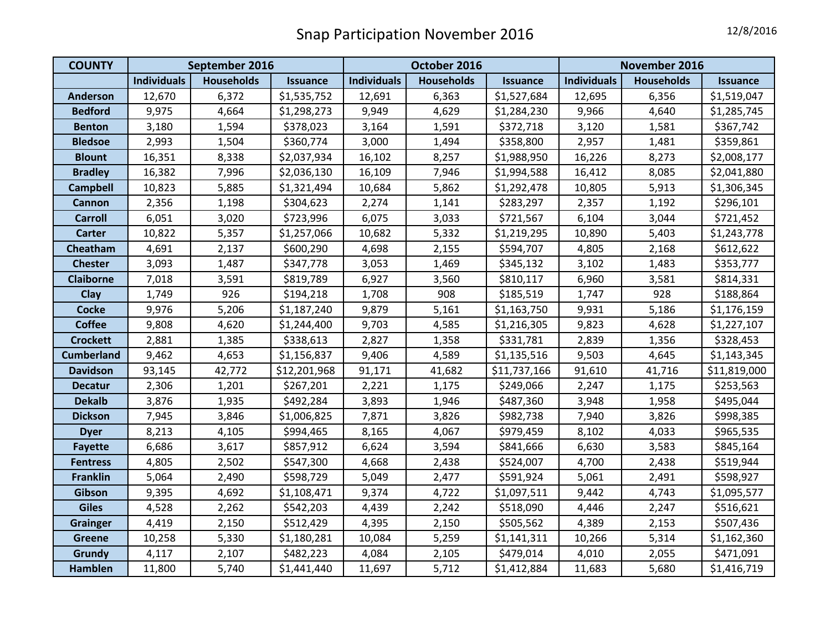| <b>COUNTY</b>     | September 2016     |                   |                 | October 2016       |                   |                 | November 2016      |                   |                 |
|-------------------|--------------------|-------------------|-----------------|--------------------|-------------------|-----------------|--------------------|-------------------|-----------------|
|                   | <b>Individuals</b> | <b>Households</b> | <b>Issuance</b> | <b>Individuals</b> | <b>Households</b> | <b>Issuance</b> | <b>Individuals</b> | <b>Households</b> | <b>Issuance</b> |
| <b>Anderson</b>   | 12,670             | 6,372             | \$1,535,752     | 12,691             | 6,363             | \$1,527,684     | 12,695             | 6,356             | \$1,519,047     |
| <b>Bedford</b>    | 9,975              | 4,664             | \$1,298,273     | 9,949              | 4,629             | \$1,284,230     | 9,966              | 4,640             | \$1,285,745     |
| <b>Benton</b>     | 3,180              | 1,594             | \$378,023       | 3,164              | 1,591             | \$372,718       | 3,120              | 1,581             | \$367,742       |
| <b>Bledsoe</b>    | 2,993              | 1,504             | \$360,774       | 3,000              | 1,494             | \$358,800       | 2,957              | 1,481             | \$359,861       |
| <b>Blount</b>     | 16,351             | 8,338             | \$2,037,934     | 16,102             | 8,257             | \$1,988,950     | 16,226             | 8,273             | \$2,008,177     |
| <b>Bradley</b>    | 16,382             | 7,996             | \$2,036,130     | 16,109             | 7,946             | \$1,994,588     | 16,412             | 8,085             | \$2,041,880     |
| <b>Campbell</b>   | 10,823             | 5,885             | \$1,321,494     | 10,684             | 5,862             | \$1,292,478     | 10,805             | 5,913             | \$1,306,345     |
| <b>Cannon</b>     | 2,356              | 1,198             | \$304,623       | 2,274              | 1,141             | \$283,297       | 2,357              | 1,192             | \$296,101       |
| <b>Carroll</b>    | 6,051              | 3,020             | \$723,996       | 6,075              | 3,033             | \$721,567       | 6,104              | 3,044             | \$721,452       |
| <b>Carter</b>     | 10,822             | 5,357             | \$1,257,066     | 10,682             | 5,332             | \$1,219,295     | 10,890             | 5,403             | \$1,243,778     |
| Cheatham          | 4,691              | 2,137             | \$600,290       | 4,698              | 2,155             | \$594,707       | 4,805              | 2,168             | \$612,622       |
| <b>Chester</b>    | 3,093              | 1,487             | \$347,778       | 3,053              | 1,469             | \$345,132       | 3,102              | 1,483             | \$353,777       |
| <b>Claiborne</b>  | 7,018              | 3,591             | \$819,789       | 6,927              | 3,560             | \$810,117       | 6,960              | 3,581             | \$814,331       |
| Clay              | 1,749              | 926               | \$194,218       | 1,708              | 908               | \$185,519       | 1,747              | 928               | \$188,864       |
| <b>Cocke</b>      | 9,976              | 5,206             | \$1,187,240     | 9,879              | 5,161             | \$1,163,750     | 9,931              | 5,186             | \$1,176,159     |
| <b>Coffee</b>     | 9,808              | 4,620             | \$1,244,400     | 9,703              | 4,585             | \$1,216,305     | 9,823              | 4,628             | \$1,227,107     |
| <b>Crockett</b>   | 2,881              | 1,385             | \$338,613       | 2,827              | 1,358             | \$331,781       | 2,839              | 1,356             | \$328,453       |
| <b>Cumberland</b> | 9,462              | 4,653             | \$1,156,837     | 9,406              | 4,589             | \$1,135,516     | 9,503              | 4,645             | \$1,143,345     |
| <b>Davidson</b>   | 93,145             | 42,772            | \$12,201,968    | 91,171             | 41,682            | \$11,737,166    | 91,610             | 41,716            | \$11,819,000    |
| <b>Decatur</b>    | 2,306              | 1,201             | \$267,201       | 2,221              | 1,175             | \$249,066       | 2,247              | 1,175             | \$253,563       |
| <b>Dekalb</b>     | 3,876              | 1,935             | \$492,284       | 3,893              | 1,946             | \$487,360       | 3,948              | 1,958             | \$495,044       |
| <b>Dickson</b>    | 7,945              | 3,846             | \$1,006,825     | 7,871              | 3,826             | \$982,738       | 7,940              | 3,826             | \$998,385       |
| <b>Dyer</b>       | 8,213              | 4,105             | \$994,465       | 8,165              | 4,067             | \$979,459       | 8,102              | 4,033             | \$965,535       |
| <b>Fayette</b>    | 6,686              | 3,617             | \$857,912       | 6,624              | 3,594             | \$841,666       | 6,630              | 3,583             | \$845,164       |
| <b>Fentress</b>   | 4,805              | 2,502             | \$547,300       | 4,668              | 2,438             | \$524,007       | 4,700              | 2,438             | \$519,944       |
| <b>Franklin</b>   | 5,064              | 2,490             | \$598,729       | 5,049              | 2,477             | \$591,924       | 5,061              | 2,491             | \$598,927       |
| Gibson            | 9,395              | 4,692             | \$1,108,471     | 9,374              | 4,722             | \$1,097,511     | 9,442              | 4,743             | \$1,095,577     |
| <b>Giles</b>      | 4,528              | 2,262             | \$542,203       | 4,439              | 2,242             | \$518,090       | 4,446              | 2,247             | \$516,621       |
| <b>Grainger</b>   | 4,419              | 2,150             | \$512,429       | 4,395              | 2,150             | \$505,562       | 4,389              | 2,153             | \$507,436       |
| <b>Greene</b>     | 10,258             | 5,330             | \$1,180,281     | 10,084             | 5,259             | \$1,141,311     | 10,266             | 5,314             | \$1,162,360     |
| Grundy            | 4,117              | 2,107             | \$482,223       | 4,084              | 2,105             | \$479,014       | 4,010              | 2,055             | \$471,091       |
| <b>Hamblen</b>    | 11,800             | 5,740             | \$1,441,440     | 11,697             | 5,712             | \$1,412,884     | 11,683             | 5,680             | \$1,416,719     |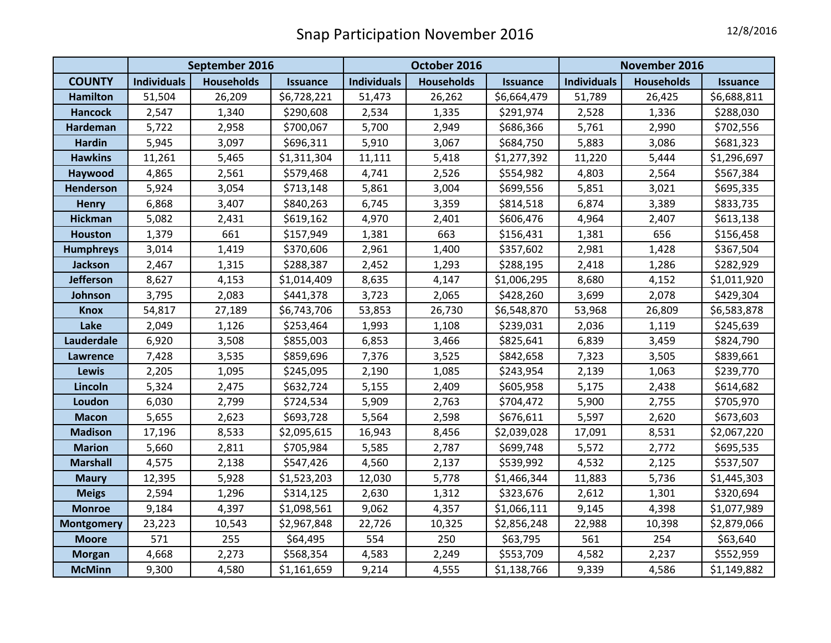|                   | September 2016     |                   |                 | October 2016       |                   |                 | November 2016      |                   |                 |
|-------------------|--------------------|-------------------|-----------------|--------------------|-------------------|-----------------|--------------------|-------------------|-----------------|
| <b>COUNTY</b>     | <b>Individuals</b> | <b>Households</b> | <b>Issuance</b> | <b>Individuals</b> | <b>Households</b> | <b>Issuance</b> | <b>Individuals</b> | <b>Households</b> | <b>Issuance</b> |
| <b>Hamilton</b>   | 51,504             | 26,209            | \$6,728,221     | 51,473             | 26,262            | \$6,664,479     | 51,789             | 26,425            | \$6,688,811     |
| <b>Hancock</b>    | 2,547              | 1,340             | \$290,608       | 2,534              | 1,335             | \$291,974       | 2,528              | 1,336             | \$288,030       |
| Hardeman          | 5,722              | 2,958             | \$700,067       | 5,700              | 2,949             | \$686,366       | 5,761              | 2,990             | \$702,556       |
| <b>Hardin</b>     | 5,945              | 3,097             | \$696,311       | 5,910              | 3,067             | \$684,750       | 5,883              | 3,086             | \$681,323       |
| <b>Hawkins</b>    | 11,261             | 5,465             | \$1,311,304     | 11,111             | 5,418             | \$1,277,392     | 11,220             | 5,444             | \$1,296,697     |
| Haywood           | 4,865              | 2,561             | \$579,468       | 4,741              | 2,526             | \$554,982       | 4,803              | 2,564             | \$567,384       |
| Henderson         | 5,924              | 3,054             | \$713,148       | 5,861              | 3,004             | \$699,556       | 5,851              | 3,021             | \$695,335       |
| <b>Henry</b>      | 6,868              | 3,407             | \$840,263       | 6,745              | 3,359             | \$814,518       | 6,874              | 3,389             | \$833,735       |
| <b>Hickman</b>    | 5,082              | 2,431             | \$619,162       | 4,970              | 2,401             | \$606,476       | 4,964              | 2,407             | \$613,138       |
| Houston           | 1,379              | 661               | \$157,949       | 1,381              | 663               | \$156,431       | 1,381              | 656               | \$156,458       |
| <b>Humphreys</b>  | 3,014              | 1,419             | \$370,606       | 2,961              | 1,400             | \$357,602       | 2,981              | 1,428             | \$367,504       |
| <b>Jackson</b>    | 2,467              | 1,315             | \$288,387       | 2,452              | 1,293             | \$288,195       | 2,418              | 1,286             | \$282,929       |
| <b>Jefferson</b>  | 8,627              | 4,153             | \$1,014,409     | 8,635              | 4,147             | \$1,006,295     | 8,680              | 4,152             | \$1,011,920     |
| Johnson           | 3,795              | 2,083             | \$441,378       | 3,723              | 2,065             | \$428,260       | 3,699              | 2,078             | \$429,304       |
| <b>Knox</b>       | 54,817             | 27,189            | \$6,743,706     | 53,853             | 26,730            | \$6,548,870     | 53,968             | 26,809            | \$6,583,878     |
| Lake              | 2,049              | 1,126             | \$253,464       | 1,993              | 1,108             | \$239,031       | 2,036              | 1,119             | \$245,639       |
| Lauderdale        | 6,920              | 3,508             | \$855,003       | 6,853              | 3,466             | \$825,641       | 6,839              | 3,459             | \$824,790       |
| Lawrence          | 7,428              | 3,535             | \$859,696       | 7,376              | 3,525             | \$842,658       | 7,323              | 3,505             | \$839,661       |
| Lewis             | 2,205              | 1,095             | \$245,095       | 2,190              | 1,085             | \$243,954       | 2,139              | 1,063             | \$239,770       |
| Lincoln           | 5,324              | 2,475             | \$632,724       | 5,155              | 2,409             | \$605,958       | 5,175              | 2,438             | \$614,682       |
| Loudon            | 6,030              | 2,799             | \$724,534       | 5,909              | 2,763             | \$704,472       | 5,900              | 2,755             | \$705,970       |
| <b>Macon</b>      | 5,655              | 2,623             | \$693,728       | 5,564              | 2,598             | \$676,611       | 5,597              | 2,620             | \$673,603       |
| <b>Madison</b>    | 17,196             | 8,533             | \$2,095,615     | 16,943             | 8,456             | \$2,039,028     | 17,091             | 8,531             | \$2,067,220     |
| <b>Marion</b>     | 5,660              | 2,811             | \$705,984       | 5,585              | 2,787             | \$699,748       | 5,572              | 2,772             | \$695,535       |
| <b>Marshall</b>   | 4,575              | 2,138             | \$547,426       | 4,560              | 2,137             | \$539,992       | 4,532              | 2,125             | \$537,507       |
| <b>Maury</b>      | 12,395             | 5,928             | \$1,523,203     | 12,030             | 5,778             | \$1,466,344     | 11,883             | 5,736             | \$1,445,303     |
| <b>Meigs</b>      | 2,594              | 1,296             | \$314,125       | 2,630              | 1,312             | \$323,676       | 2,612              | 1,301             | \$320,694       |
| <b>Monroe</b>     | 9,184              | 4,397             | \$1,098,561     | 9,062              | 4,357             | \$1,066,111     | 9,145              | 4,398             | \$1,077,989     |
| <b>Montgomery</b> | 23,223             | 10,543            | \$2,967,848     | 22,726             | 10,325            | \$2,856,248     | 22,988             | 10,398            | \$2,879,066     |
| <b>Moore</b>      | 571                | 255               | \$64,495        | 554                | 250               | \$63,795        | 561                | 254               | \$63,640        |
| <b>Morgan</b>     | 4,668              | 2,273             | \$568,354       | 4,583              | 2,249             | \$553,709       | 4,582              | 2,237             | \$552,959       |
| <b>McMinn</b>     | 9,300              | 4,580             | \$1,161,659     | 9,214              | 4,555             | \$1,138,766     | 9,339              | 4,586             | \$1,149,882     |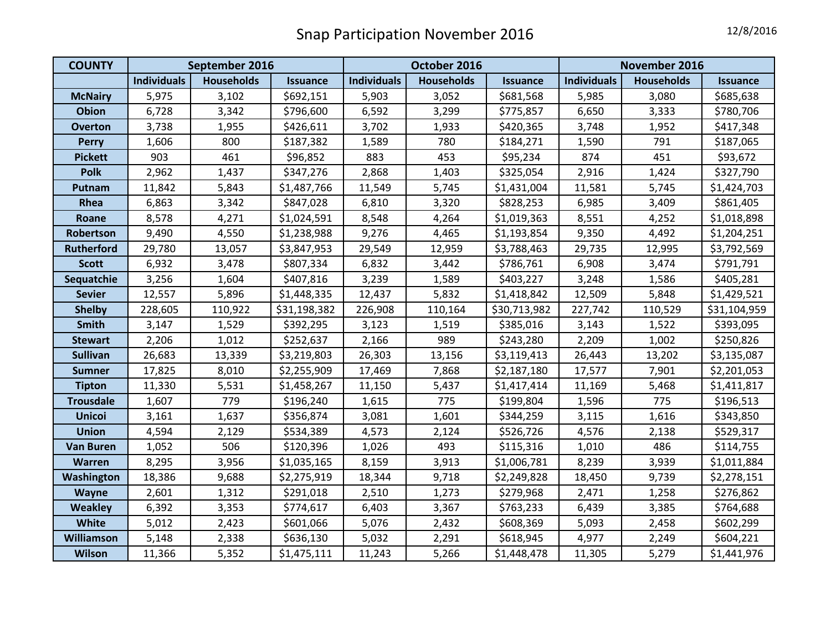| <b>COUNTY</b>     | September 2016     |                   |                 | October 2016       |                   |                 | November 2016      |                   |                 |
|-------------------|--------------------|-------------------|-----------------|--------------------|-------------------|-----------------|--------------------|-------------------|-----------------|
|                   | <b>Individuals</b> | <b>Households</b> | <b>Issuance</b> | <b>Individuals</b> | <b>Households</b> | <b>Issuance</b> | <b>Individuals</b> | <b>Households</b> | <b>Issuance</b> |
| <b>McNairy</b>    | 5,975              | 3,102             | \$692,151       | 5,903              | 3,052             | \$681,568       | 5,985              | 3,080             | \$685,638       |
| <b>Obion</b>      | 6,728              | 3,342             | \$796,600       | 6,592              | 3,299             | \$775,857       | 6,650              | 3,333             | \$780,706       |
| <b>Overton</b>    | 3,738              | 1,955             | \$426,611       | 3,702              | 1,933             | \$420,365       | 3,748              | 1,952             | \$417,348       |
| <b>Perry</b>      | 1,606              | 800               | \$187,382       | 1,589              | 780               | \$184,271       | 1,590              | 791               | \$187,065       |
| <b>Pickett</b>    | 903                | 461               | \$96,852        | 883                | 453               | \$95,234        | 874                | 451               | \$93,672        |
| <b>Polk</b>       | 2,962              | 1,437             | \$347,276       | 2,868              | 1,403             | \$325,054       | 2,916              | 1,424             | \$327,790       |
| Putnam            | 11,842             | 5,843             | \$1,487,766     | 11,549             | 5,745             | \$1,431,004     | 11,581             | 5,745             | \$1,424,703     |
| Rhea              | 6,863              | 3,342             | \$847,028       | 6,810              | 3,320             | \$828,253       | 6,985              | 3,409             | \$861,405       |
| Roane             | 8,578              | 4,271             | \$1,024,591     | 8,548              | 4,264             | \$1,019,363     | 8,551              | 4,252             | \$1,018,898     |
| Robertson         | 9,490              | 4,550             | \$1,238,988     | 9,276              | 4,465             | \$1,193,854     | 9,350              | 4,492             | \$1,204,251     |
| <b>Rutherford</b> | 29,780             | 13,057            | \$3,847,953     | 29,549             | 12,959            | \$3,788,463     | 29,735             | 12,995            | \$3,792,569     |
| <b>Scott</b>      | 6,932              | 3,478             | \$807,334       | 6,832              | 3,442             | \$786,761       | 6,908              | 3,474             | \$791,791       |
| Sequatchie        | 3,256              | 1,604             | \$407,816       | 3,239              | 1,589             | \$403,227       | 3,248              | 1,586             | \$405,281       |
| <b>Sevier</b>     | 12,557             | 5,896             | \$1,448,335     | 12,437             | 5,832             | \$1,418,842     | 12,509             | 5,848             | \$1,429,521     |
| <b>Shelby</b>     | 228,605            | 110,922           | \$31,198,382    | 226,908            | 110,164           | \$30,713,982    | 227,742            | 110,529           | \$31,104,959    |
| Smith             | 3,147              | 1,529             | \$392,295       | 3,123              | 1,519             | \$385,016       | 3,143              | 1,522             | \$393,095       |
| <b>Stewart</b>    | 2,206              | 1,012             | \$252,637       | 2,166              | 989               | \$243,280       | 2,209              | 1,002             | \$250,826       |
| <b>Sullivan</b>   | 26,683             | 13,339            | \$3,219,803     | 26,303             | 13,156            | \$3,119,413     | 26,443             | 13,202            | \$3,135,087     |
| <b>Sumner</b>     | 17,825             | 8,010             | \$2,255,909     | 17,469             | 7,868             | \$2,187,180     | 17,577             | 7,901             | \$2,201,053     |
| <b>Tipton</b>     | 11,330             | 5,531             | \$1,458,267     | 11,150             | 5,437             | \$1,417,414     | 11,169             | 5,468             | \$1,411,817     |
| <b>Trousdale</b>  | 1,607              | 779               | \$196,240       | 1,615              | 775               | \$199,804       | 1,596              | 775               | \$196,513       |
| <b>Unicoi</b>     | 3,161              | 1,637             | \$356,874       | 3,081              | 1,601             | \$344,259       | 3,115              | 1,616             | \$343,850       |
| <b>Union</b>      | 4,594              | 2,129             | \$534,389       | 4,573              | 2,124             | \$526,726       | 4,576              | 2,138             | \$529,317       |
| <b>Van Buren</b>  | 1,052              | 506               | \$120,396       | 1,026              | 493               | \$115,316       | 1,010              | 486               | \$114,755       |
| <b>Warren</b>     | 8,295              | 3,956             | \$1,035,165     | 8,159              | 3,913             | \$1,006,781     | 8,239              | 3,939             | \$1,011,884     |
| Washington        | 18,386             | 9,688             | \$2,275,919     | 18,344             | 9,718             | \$2,249,828     | 18,450             | 9,739             | \$2,278,151     |
| Wayne             | 2,601              | 1,312             | \$291,018       | 2,510              | 1,273             | \$279,968       | 2,471              | 1,258             | \$276,862       |
| <b>Weakley</b>    | 6,392              | 3,353             | \$774,617       | 6,403              | 3,367             | \$763,233       | 6,439              | 3,385             | \$764,688       |
| <b>White</b>      | 5,012              | 2,423             | \$601,066       | 5,076              | 2,432             | \$608,369       | 5,093              | 2,458             | \$602,299       |
| Williamson        | 5,148              | 2,338             | \$636,130       | 5,032              | 2,291             | \$618,945       | 4,977              | 2,249             | \$604,221       |
| <b>Wilson</b>     | 11,366             | 5,352             | \$1,475,111     | 11,243             | 5,266             | \$1,448,478     | 11,305             | 5,279             | \$1,441,976     |